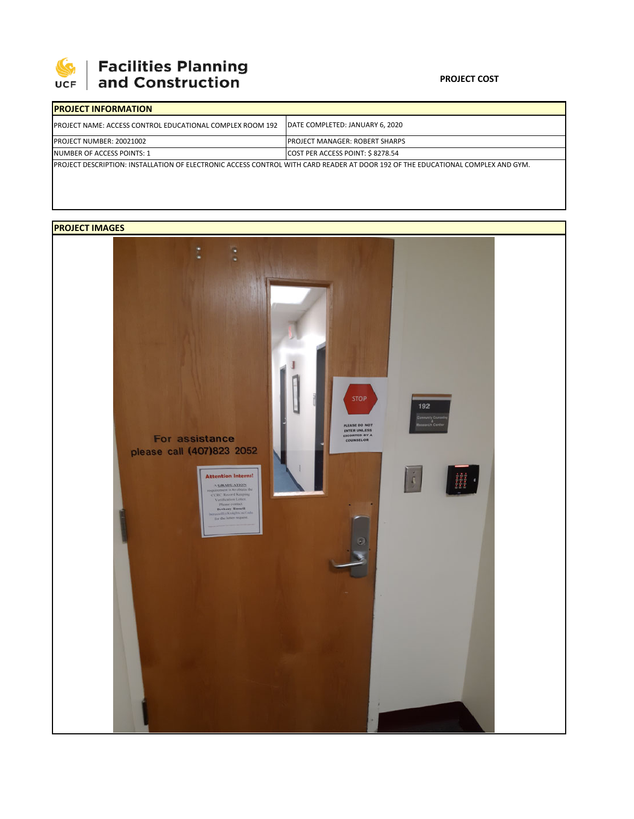

# | Facilities Planning<br>| and Construction

#### **PROJECT COST**

| <b>IPROJECT INFORMATION</b>                                                                                                             |                                        |  |  |  |
|-----------------------------------------------------------------------------------------------------------------------------------------|----------------------------------------|--|--|--|
| <b>IPROJECT NAME: ACCESS CONTROL EDUCATIONAL COMPLEX ROOM 192</b>                                                                       | DATE COMPLETED: JANUARY 6, 2020        |  |  |  |
| <b>PROJECT NUMBER: 20021002</b>                                                                                                         | <b>IPROJECT MANAGER: ROBERT SHARPS</b> |  |  |  |
| NUMBER OF ACCESS POINTS: 1                                                                                                              | COST PER ACCESS POINT: \$8278.54       |  |  |  |
| <b>IPROJECT DESCRIPTION: INSTALLATION OF ELECTRONIC ACCESS CONTROL WITH CARD READER AT DOOR 192 OF THE EDUCATIONAL COMPLEX AND GYM.</b> |                                        |  |  |  |

## **PROJECT IMAGES**